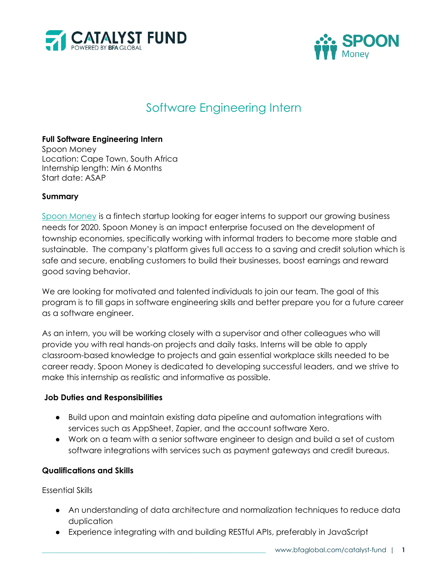



# Software Engineering Intern

## **Full Software Engineering Intern**

Spoon Money Location: Cape Town, South Africa Internship length: Min 6 Months Start date: ASAP

### **Summary**

[Spoon Money](https://www.spoonmoney.com/) is a fintech startup looking for eager interns to support our growing business needs for 2020. Spoon Money is an impact enterprise focused on the development of township economies, specifically working with informal traders to become more stable and sustainable. The company's platform gives full access to a saving and credit solution which is safe and secure, enabling customers to build their businesses, boost earnings and reward good saving behavior.

We are looking for motivated and talented individuals to join our team. The goal of this program is to fill gaps in software engineering skills and better prepare you for a future career as a software engineer.

As an intern, you will be working closely with a supervisor and other colleagues who will provide you with real hands-on projects and daily tasks. Interns will be able to apply classroom-based knowledge to projects and gain essential workplace skills needed to be career ready. Spoon Money is dedicated to developing successful leaders, and we strive to make this internship as realistic and informative as possible.

### **Job Duties and Responsibilities**

- Build upon and maintain existing data pipeline and automation integrations with services such as AppSheet, Zapier, and the account software Xero.
- Work on a team with a senior software engineer to design and build a set of custom software integrations with services such as payment gateways and credit bureaus.

### **Qualifications and Skills**

Essential Skills

- An understanding of data architecture and normalization techniques to reduce data duplication
- Experience integrating with and building RESTful APIs, preferably in JavaScript